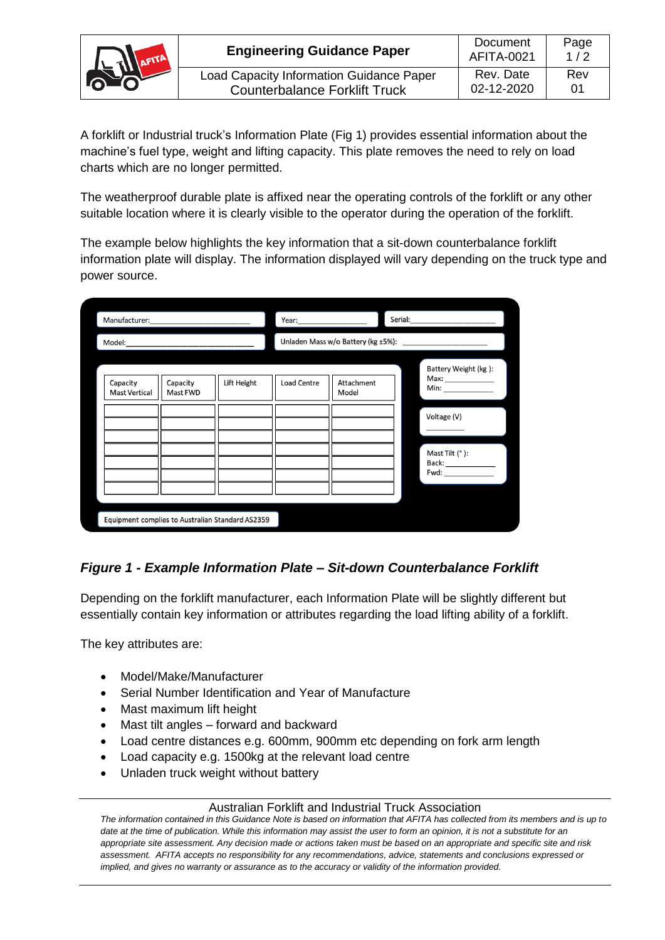

| <b>Engineering Guidance Paper</b>               | Document<br>AFITA-0021 | Page<br>1/2 |
|-------------------------------------------------|------------------------|-------------|
| <b>Load Capacity Information Guidance Paper</b> | Rev. Date              | Rev         |
| <b>Counterbalance Forklift Truck</b>            | 02-12-2020             | 01          |

A forklift or Industrial truck's Information Plate (Fig 1) provides essential information about the machine's fuel type, weight and lifting capacity. This plate removes the need to rely on load charts which are no longer permitted.

The weatherproof durable plate is affixed near the operating controls of the forklift or any other suitable location where it is clearly visible to the operator during the operation of the forklift.

The example below highlights the key information that a sit-down counterbalance forklift information plate will display. The information displayed will vary depending on the truck type and power source.

| Manufacturer:                    |                                                  |             | Year:              |                     | Serial: |                                             |
|----------------------------------|--------------------------------------------------|-------------|--------------------|---------------------|---------|---------------------------------------------|
| Model:                           |                                                  |             |                    |                     |         |                                             |
| Capacity<br><b>Mast Vertical</b> | Capacity<br>Mast FWD                             | Lift Height | <b>Load Centre</b> | Attachment<br>Model |         | Battery Weight (kg):<br>Max: ______________ |
|                                  |                                                  |             |                    |                     |         | Voltage (V)                                 |
|                                  |                                                  |             |                    |                     |         | Mast Tilt (°):                              |
|                                  | Equipment complies to Australian Standard AS2359 |             |                    |                     |         |                                             |

## *Figure 1 - Example Information Plate – Sit-down Counterbalance Forklift*

Depending on the forklift manufacturer, each Information Plate will be slightly different but essentially contain key information or attributes regarding the load lifting ability of a forklift.

The key attributes are:

- Model/Make/Manufacturer
- Serial Number Identification and Year of Manufacture
- Mast maximum lift height
- Mast tilt angles forward and backward
- Load centre distances e.g. 600mm, 900mm etc depending on fork arm length
- Load capacity e.g. 1500kg at the relevant load centre
- Unladen truck weight without battery

## Australian Forklift and Industrial Truck Association

*The information contained in this Guidance Note is based on information that AFITA has collected from its members and is up to date at the time of publication. While this information may assist the user to form an opinion, it is not a substitute for an appropriate site assessment. Any decision made or actions taken must be based on an appropriate and specific site and risk assessment. AFITA accepts no responsibility for any recommendations, advice, statements and conclusions expressed or implied, and gives no warranty or assurance as to the accuracy or validity of the information provided.*